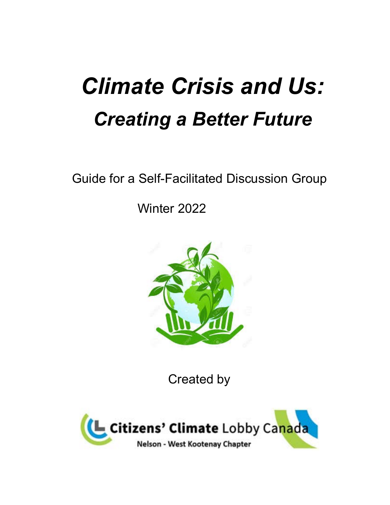# *Climate Crisis and Us: Creating a Better Future*

Guide for a Self-Facilitated Discussion Group

Winter 2022



Created by

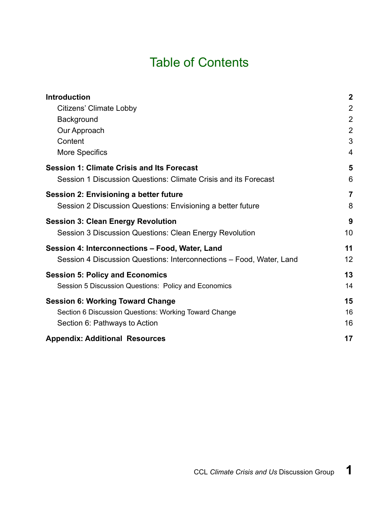# Table of Contents

| <b>Introduction</b>                                                  | $\overline{2}$ |
|----------------------------------------------------------------------|----------------|
| <b>Citizens' Climate Lobby</b>                                       | $\overline{2}$ |
| Background                                                           | $\overline{2}$ |
| Our Approach                                                         | $\overline{2}$ |
| Content                                                              | 3              |
| More Specifics                                                       | 4              |
| <b>Session 1: Climate Crisis and Its Forecast</b>                    | 5              |
| Session 1 Discussion Questions: Climate Crisis and its Forecast      | 6              |
| <b>Session 2: Envisioning a better future</b>                        | $\overline{7}$ |
| Session 2 Discussion Questions: Envisioning a better future          | 8              |
| <b>Session 3: Clean Energy Revolution</b>                            | 9              |
| Session 3 Discussion Questions: Clean Energy Revolution              | 10             |
| Session 4: Interconnections - Food, Water, Land                      | 11             |
| Session 4 Discussion Questions: Interconnections – Food, Water, Land | 12             |
| <b>Session 5: Policy and Economics</b>                               | 13             |
| Session 5 Discussion Questions: Policy and Economics                 | 14             |
| <b>Session 6: Working Toward Change</b>                              | 15             |
| Section 6 Discussion Questions: Working Toward Change                | 16             |
| Section 6: Pathways to Action                                        | 16             |
| <b>Appendix: Additional Resources</b>                                | 17             |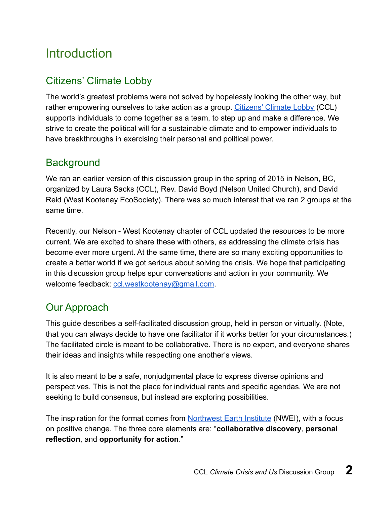# <span id="page-2-0"></span>**Introduction**

### <span id="page-2-1"></span>Citizens' Climate Lobby

The world's greatest problems were not solved by hopelessly looking the other way, but rather empowering ourselves to take action as a group. [Citizens' Climate Lobby](https://canada.citizensclimatelobby.org/) (CCL) supports individuals to come together as a team, to step up and make a difference. We strive to create the political will for a sustainable climate and to empower individuals to have breakthroughs in exercising their personal and political power.

### <span id="page-2-2"></span>**Background**

We ran an earlier version of this discussion group in the spring of 2015 in Nelson, BC, organized by Laura Sacks (CCL), Rev. David Boyd (Nelson United Church), and David Reid (West Kootenay EcoSociety). There was so much interest that we ran 2 groups at the same time.

Recently, our Nelson - West Kootenay chapter of CCL updated the resources to be more current. We are excited to share these with others, as addressing the climate crisis has become ever more urgent. At the same time, there are so many exciting opportunities to create a better world if we got serious about solving the crisis. We hope that participating in this discussion group helps spur conversations and action in your community. We welcome feedback: [ccl.westkootenay@gmail.com](mailto:ccl.westkootenay@gmail.com).

# <span id="page-2-3"></span>Our Approach

This guide describes a self-facilitated discussion group, held in person or virtually. (Note, that you can always decide to have one facilitator if it works better for your circumstances.) The facilitated circle is meant to be collaborative. There is no expert, and everyone shares their ideas and insights while respecting one another's views.

It is also meant to be a safe, nonjudgmental place to express diverse opinions and perspectives. This is not the place for individual rants and specific agendas. We are not seeking to build consensus, but instead are exploring possibilities.

The inspiration for the format comes from [Northwest Earth Institute](https://nwei.org/) (NWEI), with a focus on positive change. The three core elements are: "**collaborative discovery**, **personal reflection**, and **opportunity for action**."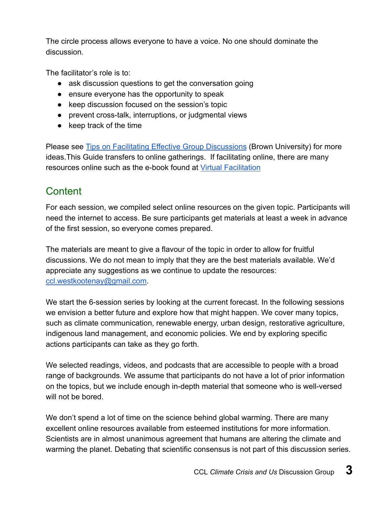The circle process allows everyone to have a voice. No one should dominate the discussion.

The facilitator's role is to:

- ask discussion questions to get the conversation going
- ensure everyone has the opportunity to speak
- keep discussion focused on the session's topic
- prevent cross-talk, interruptions, or judgmental views
- keep track of the time

Please see **[Tips on Facilitating Effective Group Discussions](https://www.brown.edu/sheridan/teaching-learning-resources/teaching-resources/classroom-practices/learning-contexts/discussions/tips)** (Brown University) for more ideas.This Guide transfers to online gatherings. If facilitating online, there are many resources online such as the e-book found at [Virtual Facilitation](https://www.virtualfacilitation.com/about-us)

### <span id="page-3-0"></span>**Content**

For each session, we compiled select online resources on the given topic. Participants will need the internet to access. Be sure participants get materials at least a week in advance of the first session, so everyone comes prepared.

The materials are meant to give a flavour of the topic in order to allow for fruitful discussions. We do not mean to imply that they are the best materials available. We'd appreciate any suggestions as we continue to update the resources: [ccl.westkootenay@gmail.com](mailto:ccl.westkootenay@gmail.com).

We start the 6-session series by looking at the current forecast. In the following sessions we envision a better future and explore how that might happen. We cover many topics, such as climate communication, renewable energy, urban design, restorative agriculture, indigenous land management, and economic policies. We end by exploring specific actions participants can take as they go forth.

We selected readings, videos, and podcasts that are accessible to people with a broad range of backgrounds. We assume that participants do not have a lot of prior information on the topics, but we include enough in-depth material that someone who is well-versed will not be bored.

We don't spend a lot of time on the science behind global warming. There are many excellent online resources available from esteemed institutions for more information. Scientists are in almost unanimous agreement that humans are altering the climate and warming the planet. Debating that scientific consensus is not part of this discussion series.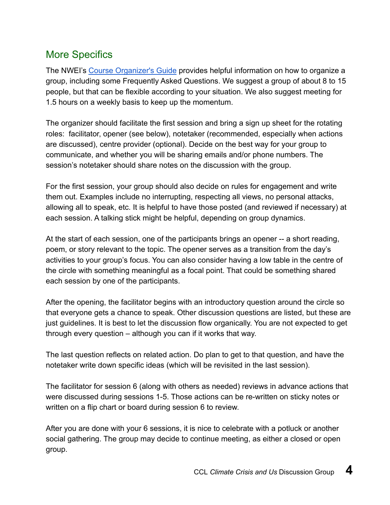### <span id="page-4-0"></span>More Specifics

The NWEI's [Course Organizer's Guide](https://nwei.org/assets/NW-Earth-Institute-Course-Organizers-Guide-with-links-11.07.16.pdf) provides helpful information on how to organize a group, including some Frequently Asked Questions. We suggest a group of about 8 to 15 people, but that can be flexible according to your situation. We also suggest meeting for 1.5 hours on a weekly basis to keep up the momentum.

The organizer should facilitate the first session and bring a sign up sheet for the rotating roles: facilitator, opener (see below), notetaker (recommended, especially when actions are discussed), centre provider (optional). Decide on the best way for your group to communicate, and whether you will be sharing emails and/or phone numbers. The session's notetaker should share notes on the discussion with the group.

For the first session, your group should also decide on rules for engagement and write them out. Examples include no interrupting, respecting all views, no personal attacks, allowing all to speak, etc. It is helpful to have those posted (and reviewed if necessary) at each session. A talking stick might be helpful, depending on group dynamics.

At the start of each session, one of the participants brings an opener -- a short reading, poem, or story relevant to the topic. The opener serves as a transition from the day's activities to your group's focus. You can also consider having a low table in the centre of the circle with something meaningful as a focal point. That could be something shared each session by one of the participants.

After the opening, the facilitator begins with an introductory question around the circle so that everyone gets a chance to speak. Other discussion questions are listed, but these are just guidelines. It is best to let the discussion flow organically. You are not expected to get through every question – although you can if it works that way.

The last question reflects on related action. Do plan to get to that question, and have the notetaker write down specific ideas (which will be revisited in the last session).

The facilitator for session 6 (along with others as needed) reviews in advance actions that were discussed during sessions 1-5. Those actions can be re-written on sticky notes or written on a flip chart or board during session 6 to review.

After you are done with your 6 sessions, it is nice to celebrate with a potluck or another social gathering. The group may decide to continue meeting, as either a closed or open group.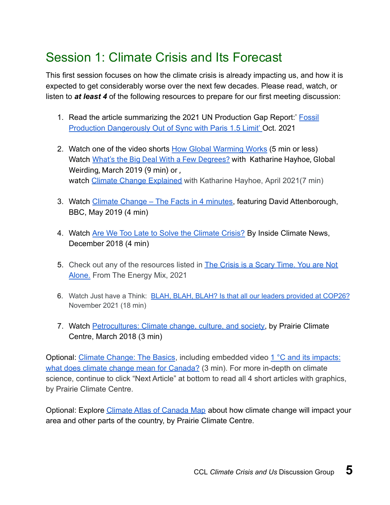# <span id="page-5-0"></span>Session 1: Climate Crisis and Its Forecast

This first session focuses on how the climate crisis is already impacting us, and how it is expected to get considerably worse over the next few decades. Please read, watch, or listen to *at least 4* of the following resources to prepare for our first meeting discussion:

- 1. Read the article summarizing the 2021 UN Production Gap Report:' [Fossil](https://below2c.org/2021/10/fossil-production-dangerously-out-of-sync-with-paris-1-5c-limit/) [Production Dangerously Out of Sync with Paris 1.5 Limit'](https://below2c.org/2021/10/fossil-production-dangerously-out-of-sync-with-paris-1-5c-limit/) Oct. 2021
- 2. Watch one of the video shorts [How Global Warming Works](http://www.howglobalwarmingworks.org/) (5 min or less) Watch [What's the Big Deal With a Few Degrees?](https://www.youtube.com/watch?v=6cRCbgTA_78&list=PLwNT4Fr0_4CRlYFj3hZPVSaVYZfk9YQM4) with Katharine Hayhoe, Global Weirding, March 2019 (9 min) or , watch [Climate Change Explained](https://www.youtube.com/watch?v=rvEXPbwx710) with Katharine Hayhoe, April 2021(7 min)
- 3. Watch Climate Change The Facts in 4 minutes, featuring David Attenborough, BBC, May 2019 (4 min)
- 4. Watch [Are We Too Late to Solve the Climate Crisis?](https://www.youtube.com/watch?time_continue=223&v=FxLlrw3M6c8) By Inside Climate News, December 2018 (4 min)
- 5. Check out any of the resources listed in [The Crisis is a Scary Time. You are Not](https://www.theenergymix.com/a-crisis-is-a-scary-time-you-are-not-alone/) [Alone.](https://www.theenergymix.com/a-crisis-is-a-scary-time-you-are-not-alone/) From The Energy Mix, 2021
- 6. Watch Just have a Think: [BLAH, BLAH, BLAH? Is that all our leaders provided at COP26?](https://www.youtube.com/watch?v=ySvwToK19Aw&t=2s) November 2021 (18 min)
- 7. Watch [Petrocultures: Climate change, culture, and society,](https://climateatlas.ca/video/petrocultures) by Prairie Climate Centre, March 2018 (3 min)

Optional: [Climate Change: The Basics](https://climateatlas.ca/climate-change-basics), including embedded video [1 °C and its impacts:](https://www.youtube.com/watch?time_continue=15&v=9SvlT6z5nhc) [what does climate change mean for Canada?](https://www.youtube.com/watch?time_continue=15&v=9SvlT6z5nhc) (3 min). For more in-depth on climate science, continue to click "Next Article" at bottom to read all 4 short articles with graphics, by Prairie Climate Centre.

Optional: Explore [Climate Atlas of Canada Map](https://climateatlas.ca/map/canada/) about how climate change will impact your area and other parts of the country, by Prairie Climate Centre.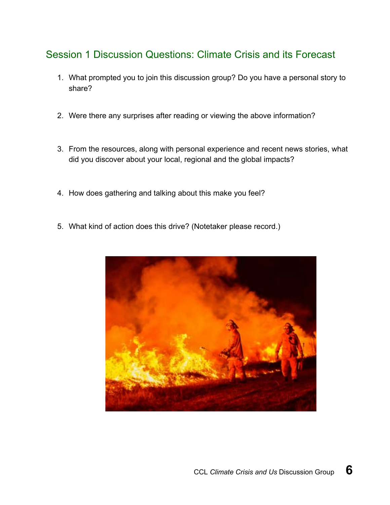### <span id="page-6-0"></span>Session 1 Discussion Questions: Climate Crisis and its Forecast

- 1. What prompted you to join this discussion group? Do you have a personal story to share?
- 2. Were there any surprises after reading or viewing the above information?
- 3. From the resources, along with personal experience and recent news stories, what did you discover about your local, regional and the global impacts?
- 4. How does gathering and talking about this make you feel?
- 5. What kind of action does this drive? (Notetaker please record.)

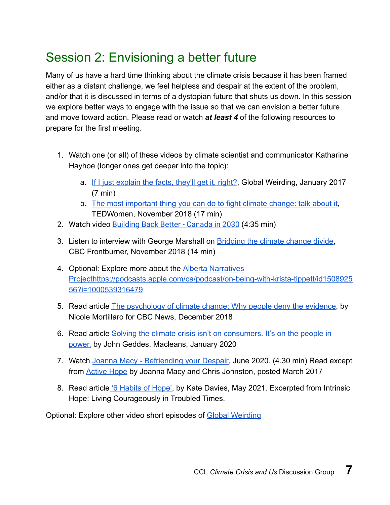# <span id="page-7-0"></span>Session 2: Envisioning a better future

Many of us have a hard time thinking about the climate crisis because it has been framed either as a distant challenge, we feel helpless and despair at the extent of the problem, and/or that it is discussed in terms of a dystopian future that shuts us down. In this session we explore better ways to engage with the issue so that we can envision a better future and move toward action. Please read or watch *at least 4* of the following resources to prepare for the first meeting.

- 1. Watch one (or all) of these videos by climate scientist and communicator Katharine Hayhoe (longer ones get deeper into the topic):
	- a. [If I just explain the facts, they'll get it, right?](https://www.youtube.com/watch?v=nkMIjbDtdo0), Global Weirding, January 2017 (7 min)
	- b. [The most important thing you can do to fight climate change: talk about it](https://www.ted.com/talks/katharine_hayhoe_the_most_important_thing_you_can_do_to_fight_climate_change_talk_about_it?utm_source=facebook.com&utm_medium=social&utm_campaign=tedspread&fbclid=IwAR2B1tJERZweNEMinbIrQKe1GOk3NSvdjnMhayeNUdv1OZGmFIEglElfteA), TEDWomen, November 2018 (17 min)
- 2. Watch video [Building Back Better Canada in 2030](https://www.youtube.com/watch?v=KwgOHFutvwc) (4:35 min)
- 3. Listen to interview with George Marshall on **Bridging the climate change divide**, CBC Frontburner, November 2018 (14 min)
- 4. Optional: Explore more about the [Alberta Narratives](http://albertanarrativesproject.ca/) [Project](http://albertanarrativesproject.ca/)[https://podcasts.apple.com/ca/podcast/on-being-with-krista-tippett/id1508925](https://podcasts.apple.com/ca/podcast/on-being-with-krista-tippett/id150892556?i=1000539316479) [56?i=1000539316479](https://podcasts.apple.com/ca/podcast/on-being-with-krista-tippett/id150892556?i=1000539316479)
- 5. Read article [The psychology of climate change: Why people deny the evidence,](https://www.cbc.ca/news/technology/climate-change-psychology-1.4920872) by Nicole Mortillaro for CBC News, December 2018
- 6. Read article [Solving the climate crisis isn't on consumers. It's on the people in](https://www.macleans.ca/society/solving-the-climate-crisis-isnt-on-consumers-its-on-the-people-in-power/) [power,](https://www.macleans.ca/society/solving-the-climate-crisis-isnt-on-consumers-its-on-the-people-in-power/) by John Geddes, Macleans, January 2020
- 7. Watch [Joanna Macy Befriending your Despair](https://workthatreconnects.org/resource/joanna-macy-befriending-your-despair/), June 2020. (4.30 min) Read except from **[Active Hope](http://www.dailygood.org/story/1536/active-hope/)** by Joanna Macy and Chris Johnston, posted March 2017
- 8. Read article ['6 Habits of Hope'](https://www.dailygood.org/story/2053/6-habits-of-hope-kate-davies/), by Kate Davies, May 2021. Excerpted from Intrinsic Hope: Living Courageously in Troubled Times.

Optional: Explore other video short episodes of [Global Weirding](https://www.youtube.com/channel/UCi6RkdaEqgRVKi3AzidF4ow/videos)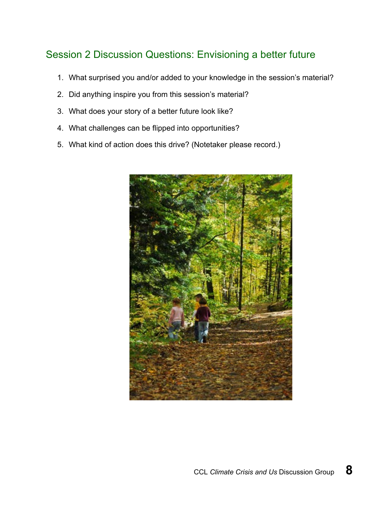### <span id="page-8-0"></span>Session 2 Discussion Questions: Envisioning a better future

- 1. What surprised you and/or added to your knowledge in the session's material?
- 2. Did anything inspire you from this session's material?
- 3. What does your story of a better future look like?
- 4. What challenges can be flipped into opportunities?
- 5. What kind of action does this drive? (Notetaker please record.)

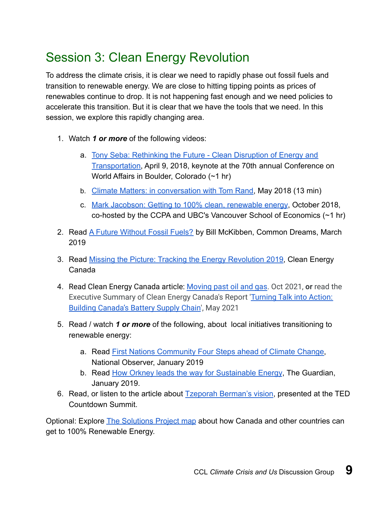# <span id="page-9-0"></span>Session 3: Clean Energy Revolution

To address the climate crisis, it is clear we need to rapidly phase out fossil fuels and transition to renewable energy. We are close to hitting tipping points as prices of renewables continue to drop. It is not happening fast enough and we need policies to accelerate this transition. But it is clear that we have the tools that we need. In this session, we explore this rapidly changing area.

- 1. Watch *1 or more* of the following videos:
	- a. [Tony Seba: Rethinking the Future Clean Disruption of Energy and](https://www.youtube.com/watch?v=duWFnukFJhQ&feature=youtu.be) [Transportation,](https://www.youtube.com/watch?v=duWFnukFJhQ&feature=youtu.be) April 9, 2018, keynote at the 70th annual Conference on World Affairs in Boulder, Colorado (~1 hr)
	- b. [Climate Matters: in conversation with Tom Rand](https://www.youtube.com/watch?v=GULZlhG_rvk), May 2018 (13 min)
	- c. [Mark Jacobson: Getting to 100% clean, renewable energy](https://m.youtube.com/watch?feature=youtu.be&v=UASzeS9yrTI), October 2018, co-hosted by the CCPA and UBC's Vancouver School of Economics (~1 hr)
- 2. Read [A Future Without Fossil Fuels?](https://www.commondreams.org/views/2019/03/16/future-without-fossil-fuels) by Bill McKibben, Common Dreams, March 2019
- 3. Read [Missing the Picture: Tracking the Energy Revolution 2019](https://cleanenergycanada.org/wp-content/uploads/2019/05/Report_TER2019_CleanJobs_ForWeb.pdf), Clean Energy Canada
- 4. Read Clean Energy Canada article: [Moving past oil and gas.](https://cleanenergycanada.org/clean-energy-review/) Oct 2021, **or** read the Executive Summary of Clean Energy Canada's Report '[Turning Talk into Action:](https://cleanenergycanada.org/wp-content/uploads/2021/05/Turning-Talk-into-Action_Building-Canadas-Battery-Supply-Chain.pdf) [Building Canada's Battery Supply Chain](https://cleanenergycanada.org/wp-content/uploads/2021/05/Turning-Talk-into-Action_Building-Canadas-Battery-Supply-Chain.pdf)', May 2021
- 5. Read / watch *1 or more* of the following, about local initiatives transitioning to renewable energy:
	- a. Read [First Nations Community Four Steps ahead of Climate Change,](https://www.nationalobserver.com/2018/02/15/first-nation-four-steps-ahead-climate-change?utm_source=National+Observer&utm_campaign=525a366b11-EMAIL_CAMPAIGN_2019_01_18_02_23&utm_medium=email&utm_term=0_cacd0f141f-525a366b11-254387005) National Observer, January 2019
	- b. Read [How Orkney leads the way for Sustainable Energy](https://www.theguardian.com/environment/2019/jan/20/orkney-northern-powerhouse-electricity-wind-waves-surplus-power-hydrogen-fuel-cell?CMP=Share_iOSApp_Other), The Guardian, January 2019.
- 6. Read, or listen to the article about [Tzeporah Berman's vision](https://www.nationalobserver.com/2021/10/14/news/tzeporah-berman-proposes-big-bold-new-idea-ted-talk-world-without-oil-and-gas), presented at the TED Countdown Summit.

Optional: Explore [The Solutions Project map](http://thesolutionsproject.org/why-clean-energy/?_ga=2.220097881.1724152624.1547842361-2102759931.1547842361) about how Canada and other countries can get to 100% Renewable Energy.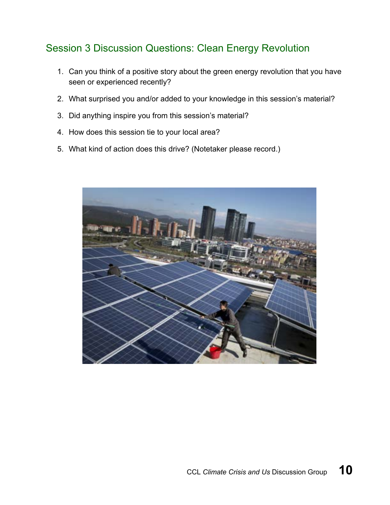## <span id="page-10-0"></span>Session 3 Discussion Questions: Clean Energy Revolution

- 1. Can you think of a positive story about the green energy revolution that you have seen or experienced recently?
- 2. What surprised you and/or added to your knowledge in this session's material?
- 3. Did anything inspire you from this session's material?
- 4. How does this session tie to your local area?
- 5. What kind of action does this drive? (Notetaker please record.)

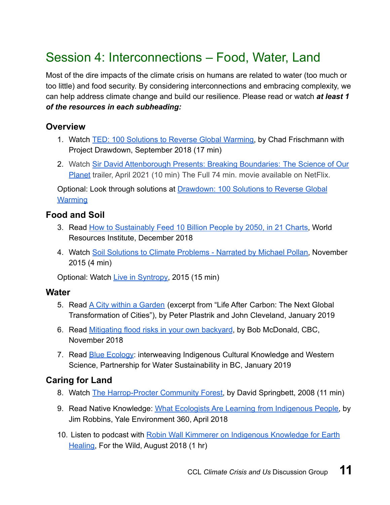# <span id="page-11-0"></span>Session 4: Interconnections – Food, Water, Land

Most of the dire impacts of the climate crisis on humans are related to water (too much or too little) and food security. By considering interconnections and embracing complexity, we can help address climate change and build our resilience. Please read or watch *at least 1 of the resources in each subheading:*

#### **Overview**

- 1. Watch [TED: 100 Solutions to Reverse Global Warming,](https://www.ted.com/talks/chad_frischmann_100_solutions_to_climate_change) by Chad Frischmann with Project Drawdown, September 2018 (17 min)
- 2. Watch [Sir David Attenborough Presents: Breaking Boundaries: The Science of Our](https://www.youtube.com/watch?v=2Jq23mSDh9U) [Planet](https://www.youtube.com/watch?v=2Jq23mSDh9U) trailer, April 2021 (10 min) The Full 74 min. movie available on NetFlix.

Optional: Look through solutions at [Drawdown: 100 Solutions to Reverse Global](https://www.drawdown.org/solutions) **[Warming](https://www.drawdown.org/solutions)** 

#### **Food and Soil**

- 3. Read [How to Sustainably Feed 10 Billion People by 2050, in 21 Charts,](https://www.wri.org/blog/2018/12/how-sustainably-feed-10-billion-people-2050-21-charts) World Resources Institute, December 2018
- 4. Watch [Soil Solutions to Climate Problems Narrated by Michael Pollan,](https://www.youtube.com/watch?v=NxqBzrx9yIE&feature=youtu.be) November 2015 (4 min)

Optional: Watch [Live in Syntropy,](https://vimeo.com/146953911) 2015 (15 min)

#### **Water**

- 5. Read [A City within a Garden](https://waterbucket.ca/gi/wp-content/uploads/sites/4/2019/01/The-City-within-a-Garden_2019.pdf) (excerpt from "Life After Carbon: The Next Global Transformation of Cities"), by Peter Plastrik and John Cleveland, January 2019
- 6. Read [Mitigating flood risks in your own backyard](https://www.cbc.ca/radio/quirks/mitigating-flood-risks-in-your-own-backyard-1.4909127), by Bob McDonald, CBC, November 2018
- 7. Read [Blue Ecology](https://waterbucket.ca/cfa/2019/01/25/blue-ecology-there-is-hope-for-future-generations-if-we-take-a-water-first-approach-to-setting-priorities-says-michael-blackstock-champion-for-interweaving-indigenous-knowledge-and-western-science/): interweaving Indigenous Cultural Knowledge and Western Science, Partnership for Water Sustainability in BC, January 2019

#### **Caring for Land**

- 8. Watch [The Harrop-Procter Community Forest,](http://www.cultureunplugged.com/documentary/watch-online/festival/play/7055/The-Harrop-Procter-Community-Forest) by David Springbett, 2008 (11 min)
- 9. Read Native Knowledge: [What Ecologists Are Learning from Indigenous People,](https://e360.yale.edu/features/native-knowledge-what-ecologists-are-learning-from-indigenous-people) by Jim Robbins, Yale Environment 360, April 2018
- 10. Listen to podcast with [Robin Wall Kimmerer on Indigenous Knowledge for Earth](http://forthewild.world/listen/robin-wall-kimmerer-on-indigenous-knowledge-for-earth-healing-35-encore) [Healing,](http://forthewild.world/listen/robin-wall-kimmerer-on-indigenous-knowledge-for-earth-healing-35-encore) For the Wild, August 2018 (1 hr)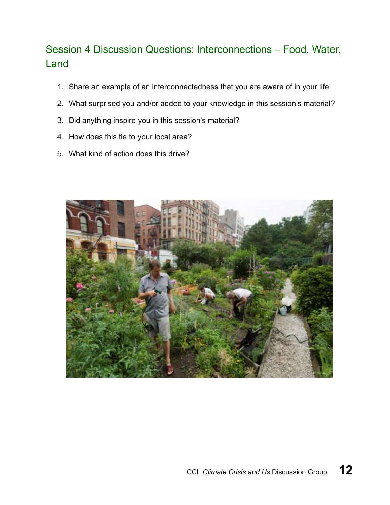# <span id="page-12-0"></span>Session 4 Discussion Questions: Interconnections – Food, Water, Land

- 1. Share an example of an interconnectedness that you are aware of in your life.
- 2. What surprised you and/or added to your knowledge in this session's material?
- 3. Did anything inspire you in this session's material?
- 4. How does this tie to your local area?
- 5. What kind of action does this drive?

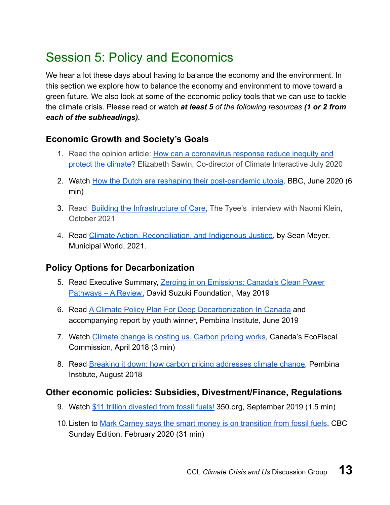# <span id="page-13-0"></span>Session 5: Policy and Economics

We hear a lot these days about having to balance the economy and the environment. In this section we explore how to balance the economy and environment to move toward a green future. We also look at some of the economic policy tools that we can use to tackle the climate crisis. Please read or watch *at least 5 of the following resources (1 or 2 from each of the subheadings).*

#### **Economic Growth and Society's Goals**

- 1. Read the opinion article: [How can a coronavirus response reduce inequity and](https://news.trust.org/item/20200709123354-rvo20) [protect the climate?](https://news.trust.org/item/20200709123354-rvo20) Elizabeth Sawin, Co-director of Climate Interactive July 2020
- 2. Watch [How the Dutch are reshaping their post-pandemic utopia](https://www.bbc.com/reel/playlist/changing-economy?vpid=p08jbdd5). BBC, June 2020 (6 min)
- 3. Read [Building the Infrastructure of Care,](https://thetyee.ca/News/2021/10/22/Naomi-Klein-Stage-Before-Breakthrough/) The Tyee's interview with Naomi Klein, October 2021
- 4. Read [Climate Action, Reconciliation, and Indigenous Justice](https://www.municipalworld.com/feature-story/climate-reconciliation-justice/), by Sean Meyer, Municipal World, 2021.

#### **Policy Options for Decarbonization**

- 5. Read Executive Summary, [Zeroing in on Emissions: Canada's Clean Power](https://davidsuzuki.org/science-learning-centre-article/zeroing-in-on-emissions-canadas-clean-power-pathways-a-review/) Pathways - A Review, David Suzuki Foundation, May 2019
- 6. Read [A Climate Policy Plan For Deep Decarbonization In Canada](https://www.pembina.org/pub/climate-policy-plan-deep-decarbonization-canada) and accompanying report by youth winner, Pembina Institute, June 2019
- 7. Watch [Climate change is costing us. Carbon pricing works,](https://www.youtube.com/watch?time_continue=2&v=N6_6uefqcQY) Canada's EcoFiscal Commission, April 2018 (3 min)
- 8. Read [Breaking it down: how carbon pricing addresses climate change,](https://www.pembina.org/blog/breaking-it-down-how-carbon-pricing-addresses-climate-change) Pembina Institute, August 2018

#### **Other economic policies: Subsidies, Divestment/Finance, Regulations**

- 9. Watch [\\$11 trillion divested from fossil fuels!](https://www.facebook.com/350.org/videos/vb.12185972707/2238908502885586/?type=2&theater) 350.org, September 2019 (1.5 min)
- 10.Listen to [Mark Carney says the smart money is on transition from fossil fuels](https://www.cbc.ca/radio/thesundayedition/the-sunday-edition-for-february-16-2020-1.5459411/mark-carney-named-un-special-envoy-on-climate-change-says-the-smart-money-is-on-transition-from-fossil-fuels-1.5462453), CBC Sunday Edition, February 2020 (31 min)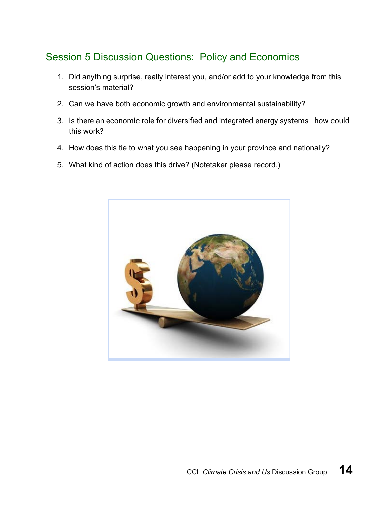### <span id="page-14-0"></span>Session 5 Discussion Questions: Policy and Economics

- 1. Did anything surprise, really interest you, and/or add to your knowledge from this session's material?
- 2. Can we have both economic growth and environmental sustainability?
- 3. Is there an economic role for diversified and integrated energy systems how could this work?
- 4. How does this tie to what you see happening in your province and nationally?
- 5. What kind of action does this drive? (Notetaker please record.)

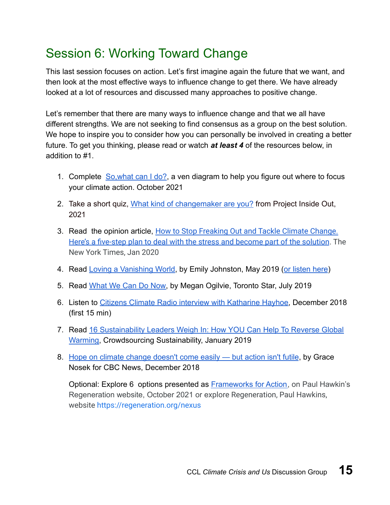# <span id="page-15-0"></span>Session 6: Working Toward Change

This last session focuses on action. Let's first imagine again the future that we want, and then look at the most effective ways to influence change to get there. We have already looked at a lot of resources and discussed many approaches to positive change.

Let's remember that there are many ways to influence change and that we all have different strengths. We are not seeking to find consensus as a group on the best solution. We hope to inspire you to consider how you can personally be involved in creating a better future. To get you thinking, please read or watch *at least 4* of the resources below, in addition to #1.

- 1. Complete So, what can I do?, a ven diagram to help you figure out where to focus your climate action. October 2021
- 2. Take a short quiz, [What kind of changemaker are you?](https://projectinsideout.net/quiz/) from Project Inside Out, 2021
- 3. Read the opinion article, [How to Stop Freaking Out and Tackle Climate Change.](https://www.nytimes.com/2020/01/10/opinion/sunday/how-to-help-climate-change.html) [Here's a five-step plan to deal with the stress and become part of the solution](https://www.nytimes.com/2020/01/10/opinion/sunday/how-to-help-climate-change.html). The New York Times, Jan 2020
- 4. Read [Loving a Vanishing World,](https://medium.com/@enjohnston/loving-a-vanishing-world-ace33c11fe0) by Emily Johnston, May 2019 ([or listen here](https://soundcloud.com/michael-dowd-grace-limits/emily-johnston-loving-a-vanishing-world))
- 5. Read [What We Can Do Now,](http://projects.thestar.com/climate-change-canada/what-you-can-do/) by Megan Ogilvie, Toronto Star, July 2019
- 6. Listen to [Citizens Climate Radio interview with Katharine Hayhoe,](https://soundcloud.com/citizensclimateradio/ep-31-dr-katharine-hayhoe-and-dr-jeffrey-bennett) December 2018 (first 15 min)
- 7. Read [16 Sustainability Leaders Weigh In: How YOU Can Help To Reverse Global](http://www.crowdsourcingsustainability.com/sustainability-leaders-how-you-can-help-stop-global-warming/?fbclid=IwAR1p54zNXWS61N_myJTp9Elz-nISrtHwc4juTmAcLoeTSYNjO3XjQTot_e4) [Warming,](http://www.crowdsourcingsustainability.com/sustainability-leaders-how-you-can-help-stop-global-warming/?fbclid=IwAR1p54zNXWS61N_myJTp9Elz-nISrtHwc4juTmAcLoeTSYNjO3XjQTot_e4) Crowdsourcing Sustainability, January 2019
- 8. [Hope on climate change doesn't come easily but action isn't futile](https://www.cbc.ca/news/canada/british-columbia/hope-on-climate-change-doesn-t-come-easily-but-action-isn-t-futile-1.4924187), by Grace Nosek for CBC News, December 2018

Optional: Explore 6 options presented as [Frameworks for Action,](https://regeneration.org/frameworks-for-action) on Paul Hawkin's Regeneration website, October 2021 or explore Regeneration, Paul Hawkins, website <https://regeneration.org/nexus>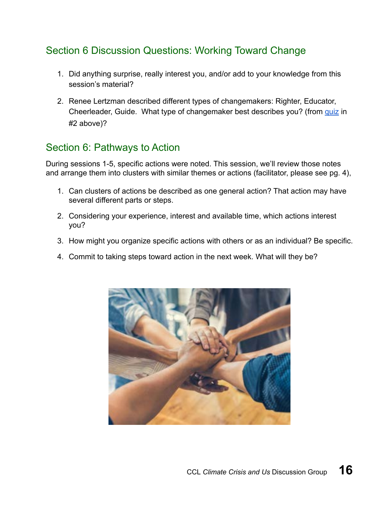### <span id="page-16-0"></span>Section 6 Discussion Questions: Working Toward Change

- 1. Did anything surprise, really interest you, and/or add to your knowledge from this session's material?
- 2. Renee Lertzman described different types of changemakers: Righter, Educator, Cheerleader, Guide. What type of changemaker best describes you? (from [quiz](https://projectinsideout.net/quiz/) in #2 above)?

### <span id="page-16-1"></span>Section 6: Pathways to Action

During sessions 1-5, specific actions were noted. This session, we'll review those notes and arrange them into clusters with similar themes or actions (facilitator, please see pg. 4),

- 1. Can clusters of actions be described as one general action? That action may have several different parts or steps.
- 2. Considering your experience, interest and available time, which actions interest you?
- 3. How might you organize specific actions with others or as an individual? Be specific.
- 4. Commit to taking steps toward action in the next week. What will they be?